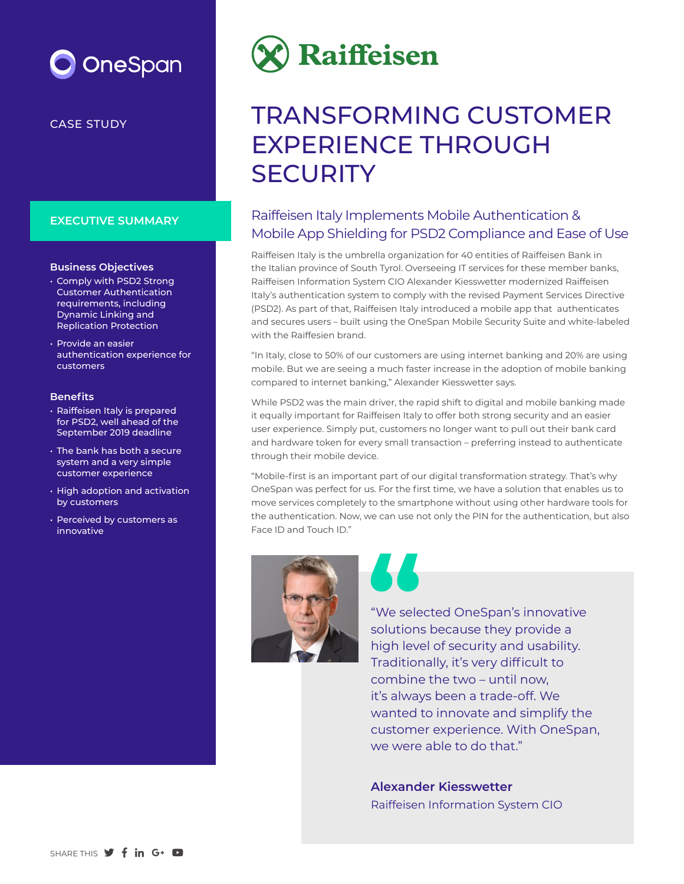# OneSpan

CASE STUDY

### **EXECUTIVE SUMMARY**

### **Business Objectives**

- Comply with PSD2 Strong Customer Authentication requirements, including Dynamic Linking and Replication Protection
- Provide an easier authentication experience for customers

### **Benefits**

- Raiffeisen Italy is prepared for PSD2, well ahead of the September 2019 deadline
- The bank has both a secure system and a very simple customer experience
- High adoption and activation by customers
- Perceived by customers as innovative



# TRANSFORMING CUSTOMER EXPERIENCE THROUGH **SECURITY**

# Raiffeisen Italy Implements Mobile Authentication & Mobile App Shielding for PSD2 Compliance and Ease of Use

Raiffeisen Italy is the umbrella organization for 40 entities of Raiffeisen Bank in the Italian province of South Tyrol. Overseeing IT services for these member banks, Raiffeisen Information System CIO Alexander Kiesswetter modernized Raiffeisen Italy's authentication system to comply with the revised Payment Services Directive (PSD2). As part of that, Raiffeisen Italy introduced a mobile app that authenticates and secures users – built using the OneSpan Mobile Security Suite and white-labeled with the Raiffesien brand.

"In Italy, close to 50% of our customers are using internet banking and 20% are using mobile. But we are seeing a much faster increase in the adoption of mobile banking compared to internet banking," Alexander Kiesswetter says.

While PSD2 was the main driver, the rapid shift to digital and mobile banking made it equally important for Raiffeisen Italy to offer both strong security and an easier user experience. Simply put, customers no longer want to pull out their bank card and hardware token for every small transaction – preferring instead to authenticate through their mobile device.

"Mobile-first is an important part of our digital transformation strategy. That's why OneSpan was perfect for us. For the first time, we have a solution that enables us to move services completely to the smartphone without using other hardware tools for the authentication. Now, we can use not only the PIN for the authentication, but also Face ID and Touch ID."





"We selected OneSpan's innovative solutions because they provide a high level of security and usability. Traditionally, it's very difficult to combine the two – until now, it's always been a trade-off. We wanted to innovate and simplify the customer experience. With OneSpan, we were able to do that."

**Alexander Kiesswetter** Raiffeisen Information System CIO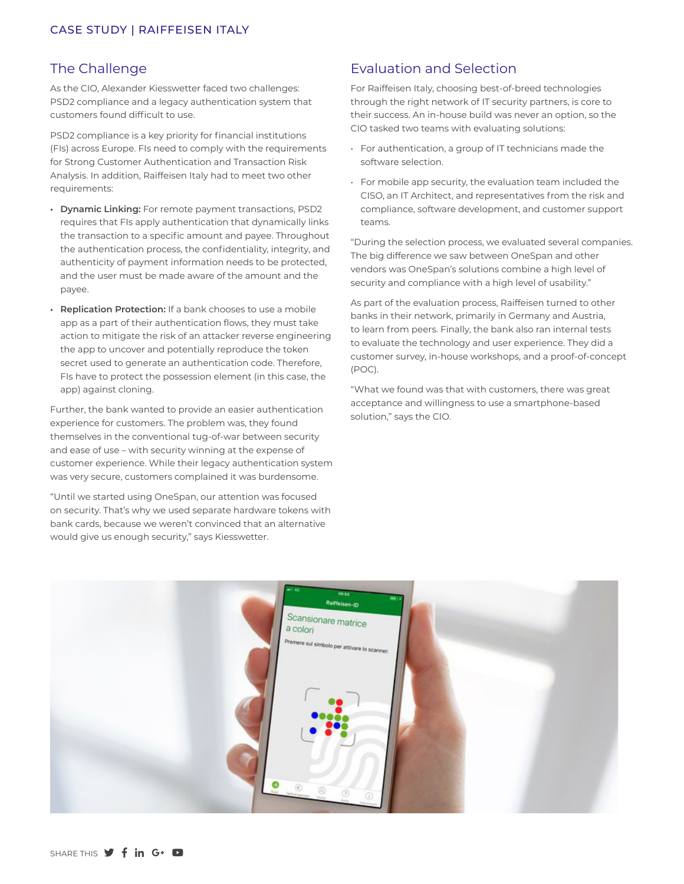## The Challenge

As the CIO, Alexander Kiesswetter faced two challenges: PSD2 compliance and a legacy authentication system that customers found difficult to use.

PSD2 compliance is a key priority for financial institutions (FIs) across Europe. FIs need to comply with the requirements for Strong Customer Authentication and Transaction Risk Analysis. In addition, Raiffeisen Italy had to meet two other requirements:

- **• Dynamic Linking:** For remote payment transactions, PSD2 requires that FIs apply authentication that dynamically links the transaction to a specific amount and payee. Throughout the authentication process, the confidentiality, integrity, and authenticity of payment information needs to be protected, and the user must be made aware of the amount and the payee.
- **• Replication Protection:** If a bank chooses to use a mobile app as a part of their authentication flows, they must take action to mitigate the risk of an attacker reverse engineering the app to uncover and potentially reproduce the token secret used to generate an authentication code. Therefore, FIs have to protect the possession element (in this case, the app) against cloning.

Further, the bank wanted to provide an easier authentication experience for customers. The problem was, they found themselves in the conventional tug-of-war between security and ease of use – with security winning at the expense of customer experience. While their legacy authentication system was very secure, customers complained it was burdensome.

"Until we started using OneSpan, our attention was focused on security. That's why we used separate hardware tokens with bank cards, because we weren't convinced that an alternative would give us enough security," says Kiesswetter.

## Evaluation and Selection

For Raiffeisen Italy, choosing best-of-breed technologies through the right network of IT security partners, is core to their success. An in-house build was never an option, so the CIO tasked two teams with evaluating solutions:

- For authentication, a group of IT technicians made the software selection.
- For mobile app security, the evaluation team included the CISO, an IT Architect, and representatives from the risk and compliance, software development, and customer support teams.

"During the selection process, we evaluated several companies. The big difference we saw between OneSpan and other vendors was OneSpan's solutions combine a high level of security and compliance with a high level of usability."

As part of the evaluation process, Raiffeisen turned to other banks in their network, primarily in Germany and Austria, to learn from peers. Finally, the bank also ran internal tests to evaluate the technology and user experience. They did a customer survey, in-house workshops, and a proof-of-concept (POC).

"What we found was that with customers, there was great acceptance and willingness to use a smartphone-based solution," says the CIO.

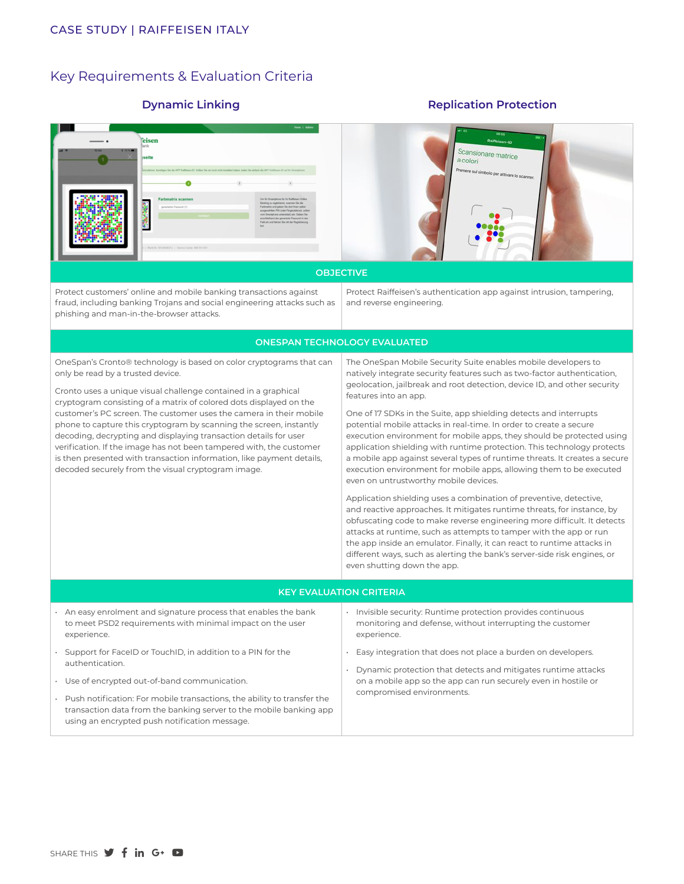### Key Requirements & Evaluation Criteria

### **Dynamic Linking Replication Protection**